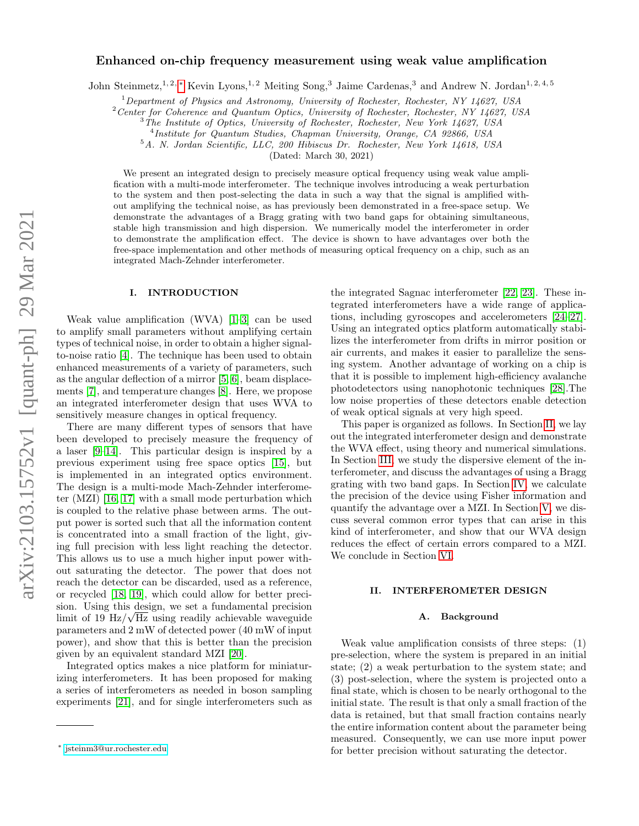# Enhanced on-chip frequency measurement using weak value amplification

John Steinmetz,<sup>1, 2, [∗](#page-0-0)</sup> Kevin Lyons,<sup>1, 2</sup> Meiting Song,<sup>3</sup> Jaime Cardenas,<sup>3</sup> and Andrew N. Jordan<sup>1, 2, 4, 5</sup>

 $1$ Department of Physics and Astronomy, University of Rochester, Rochester, NY 14627, USA

<sup>2</sup> Center for Coherence and Quantum Optics, University of Rochester, Rochester, NY 14627, USA

<sup>3</sup>The Institute of Optics, University of Rochester, Rochester, New York 14627, USA

4 Institute for Quantum Studies, Chapman University, Orange, CA 92866, USA

<sup>5</sup>A. N. Jordan Scientific, LLC, 200 Hibiscus Dr. Rochester, New York 14618, USA

(Dated: March 30, 2021)

We present an integrated design to precisely measure optical frequency using weak value amplification with a multi-mode interferometer. The technique involves introducing a weak perturbation to the system and then post-selecting the data in such a way that the signal is amplified without amplifying the technical noise, as has previously been demonstrated in a free-space setup. We demonstrate the advantages of a Bragg grating with two band gaps for obtaining simultaneous, stable high transmission and high dispersion. We numerically model the interferometer in order to demonstrate the amplification effect. The device is shown to have advantages over both the free-space implementation and other methods of measuring optical frequency on a chip, such as an integrated Mach-Zehnder interferometer.

# I. INTRODUCTION

Weak value amplification (WVA) [\[1–](#page-10-0)[3\]](#page-10-1) can be used to amplify small parameters without amplifying certain types of technical noise, in order to obtain a higher signalto-noise ratio [\[4\]](#page-10-2). The technique has been used to obtain enhanced measurements of a variety of parameters, such as the angular deflection of a mirror [\[5,](#page-10-3) [6\]](#page-10-4), beam displacements [\[7\]](#page-10-5), and temperature changes [\[8\]](#page-10-6). Here, we propose an integrated interferometer design that uses WVA to sensitively measure changes in optical frequency.

There are many different types of sensors that have been developed to precisely measure the frequency of a laser [\[9](#page-10-7)[–14\]](#page-11-0). This particular design is inspired by a previous experiment using free space optics [\[15\]](#page-11-1), but is implemented in an integrated optics environment. The design is a multi-mode Mach-Zehnder interferometer (MZI) [\[16,](#page-11-2) [17\]](#page-11-3) with a small mode perturbation which is coupled to the relative phase between arms. The output power is sorted such that all the information content is concentrated into a small fraction of the light, giving full precision with less light reaching the detector. This allows us to use a much higher input power without saturating the detector. The power that does not reach the detector can be discarded, used as a reference, or recycled [\[18,](#page-11-4) [19\]](#page-11-5), which could allow for better precision. Using this design, we set a fundamental precision limit of 19  $Hz/\sqrt{Hz}$  using readily achievable waveguide parameters and 2 mW of detected power (40 mW of input power), and show that this is better than the precision given by an equivalent standard MZI [\[20\]](#page-11-6).

Integrated optics makes a nice platform for miniaturizing interferometers. It has been proposed for making a series of interferometers as needed in boson sampling experiments [\[21\]](#page-11-7), and for single interferometers such as

the integrated Sagnac interferometer [\[22,](#page-11-8) [23\]](#page-11-9). These integrated interferometers have a wide range of applications, including gyroscopes and accelerometers [\[24–](#page-11-10)[27\]](#page-11-11). Using an integrated optics platform automatically stabilizes the interferometer from drifts in mirror position or air currents, and makes it easier to parallelize the sensing system. Another advantage of working on a chip is that it is possible to implement high-efficiency avalanche photodetectors using nanophotonic techniques [\[28\]](#page-11-12).The low noise properties of these detectors enable detection of weak optical signals at very high speed.

This paper is organized as follows. In Section [II,](#page-0-1) we lay out the integrated interferometer design and demonstrate the WVA effect, using theory and numerical simulations. In Section [III,](#page-3-0) we study the dispersive element of the interferometer, and discuss the advantages of using a Bragg grating with two band gaps. In Section [IV,](#page-5-0) we calculate the precision of the device using Fisher information and quantify the advantage over a MZI. In Section [V,](#page-6-0) we discuss several common error types that can arise in this kind of interferometer, and show that our WVA design reduces the effect of certain errors compared to a MZI. We conclude in Section [VI.](#page-9-0)

# <span id="page-0-1"></span>II. INTERFEROMETER DESIGN

### A. Background

Weak value amplification consists of three steps: (1) pre-selection, where the system is prepared in an initial state; (2) a weak perturbation to the system state; and (3) post-selection, where the system is projected onto a final state, which is chosen to be nearly orthogonal to the initial state. The result is that only a small fraction of the data is retained, but that small fraction contains nearly the entire information content about the parameter being measured. Consequently, we can use more input power for better precision without saturating the detector.

<span id="page-0-0"></span><sup>∗</sup> [jsteinm3@ur.rochester.edu](mailto:jsteinm3@ur.rochester.edu)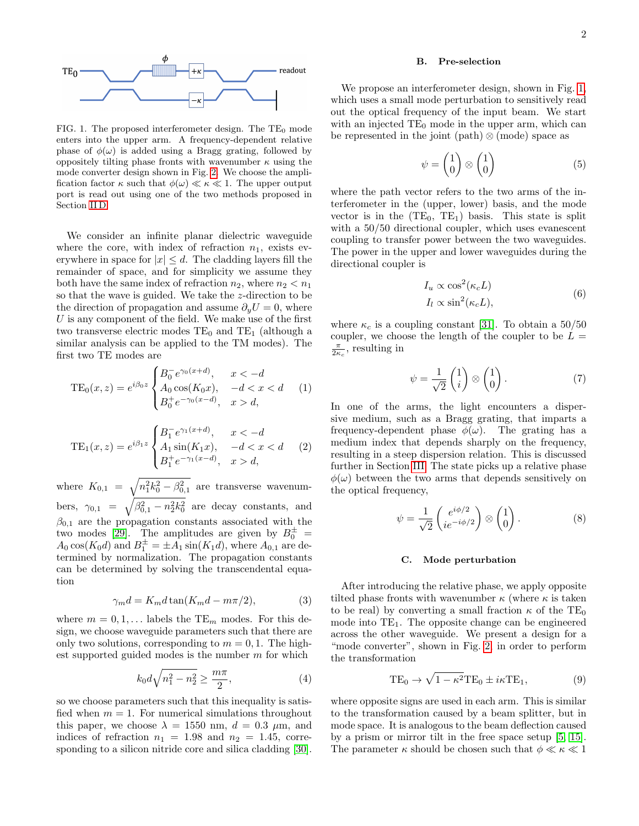

<span id="page-1-0"></span>FIG. 1. The proposed interferometer design. The  $TE_0$  mode enters into the upper arm. A frequency-dependent relative phase of  $\phi(\omega)$  is added using a Bragg grating, followed by oppositely tilting phase fronts with wavenumber  $\kappa$  using the mode converter design shown in Fig. [2.](#page-2-0) We choose the amplification factor  $\kappa$  such that  $\phi(\omega) \ll \kappa \ll 1$ . The upper output port is read out using one of the two methods proposed in Section [II D.](#page-2-1)

We consider an infinite planar dielectric waveguide where the core, with index of refraction  $n_1$ , exists everywhere in space for  $|x| \leq d$ . The cladding layers fill the remainder of space, and for simplicity we assume they both have the same index of refraction  $n_2$ , where  $n_2 < n_1$ so that the wave is guided. We take the z-direction to be the direction of propagation and assume  $\partial_y U = 0$ , where  $U$  is any component of the field. We make use of the first two transverse electric modes  $TE_0$  and  $TE_1$  (although a similar analysis can be applied to the TM modes). The first two TE modes are

$$
TE_0(x, z) = e^{i\beta_0 z} \begin{cases} B_0^- e^{\gamma_0 (x+d)}, & x < -d \\ A_0 \cos(K_0 x), & -d < x < d \\ B_0^+ e^{-\gamma_0 (x-d)}, & x > d, \end{cases}
$$
 (1)

$$
TE_1(x, z) = e^{i\beta_1 z} \begin{cases} B_1^- e^{\gamma_1 (x+d)}, & x < -d \\ A_1 \sin(K_1 x), & -d < x < d \\ B_1^+ e^{-\gamma_1 (x-d)}, & x > d, \end{cases} \tag{2}
$$

where  $K_{0,1} = \sqrt{n_1^2 k_0^2 - \beta_{0,1}^2}$  are transverse wavenumbers,  $\gamma_{0,1} = \sqrt{\beta_{0,1}^2 - n_2^2 k_0^2}$  are decay constants, and  $\beta_{0,1}$  are the propagation constants associated with the two modes [\[29\]](#page-11-13). The amplitudes are given by  $B_0^{\pm}$  =  $A_0 \cos(K_0 d)$  and  $B_1^{\pm} = \pm A_1 \sin(K_1 d)$ , where  $A_{0,1}$  are determined by normalization. The propagation constants can be determined by solving the transcendental equation

<span id="page-1-1"></span>
$$
\gamma_m d = K_m d \tan(K_m d - m\pi/2),\tag{3}
$$

where  $m = 0, 1, \dots$  labels the TE<sub>m</sub> modes. For this design, we choose waveguide parameters such that there are only two solutions, corresponding to  $m = 0, 1$ . The highest supported guided modes is the number  $m$  for which

$$
k_0 d\sqrt{n_1^2 - n_2^2} \ge \frac{m\pi}{2},\tag{4}
$$

so we choose parameters such that this inequality is satisfied when  $m = 1$ . For numerical simulations throughout this paper, we choose  $\lambda = 1550$  nm,  $d = 0.3$   $\mu$ m, and indices of refraction  $n_1 = 1.98$  and  $n_2 = 1.45$ , corresponding to a silicon nitride core and silica cladding [\[30\]](#page-11-14).

### B. Pre-selection

We propose an interferometer design, shown in Fig. 1. which uses a small mode perturbation to sensitively read out the optical frequency of the input beam. We start with an injected  $TE_0$  mode in the upper arm, which can be represented in the joint (path)  $\otimes$  (mode) space as

$$
\psi = \begin{pmatrix} 1 \\ 0 \end{pmatrix} \otimes \begin{pmatrix} 1 \\ 0 \end{pmatrix} \tag{5}
$$

where the path vector refers to the two arms of the interferometer in the (upper, lower) basis, and the mode vector is in the  $(TE_0, TE_1)$  basis. This state is split with a  $50/50$  directional coupler, which uses evanescent coupling to transfer power between the two waveguides. The power in the upper and lower waveguides during the directional coupler is

$$
I_u \propto \cos^2(\kappa_c L)
$$
  
\n
$$
I_l \propto \sin^2(\kappa_c L),
$$
\n(6)

where  $\kappa_c$  is a coupling constant [\[31\]](#page-11-15). To obtain a 50/50 coupler, we choose the length of the coupler to be  $L =$  $\frac{\pi}{2\kappa_c}$ , resulting in

$$
\psi = \frac{1}{\sqrt{2}} \begin{pmatrix} 1 \\ i \end{pmatrix} \otimes \begin{pmatrix} 1 \\ 0 \end{pmatrix} . \tag{7}
$$

In one of the arms, the light encounters a dispersive medium, such as a Bragg grating, that imparts a frequency-dependent phase  $\phi(\omega)$ . The grating has a medium index that depends sharply on the frequency, resulting in a steep dispersion relation. This is discussed further in Section [III.](#page-3-0) The state picks up a relative phase  $\phi(\omega)$  between the two arms that depends sensitively on the optical frequency,

$$
\psi = \frac{1}{\sqrt{2}} \begin{pmatrix} e^{i\phi/2} \\ ie^{-i\phi/2} \end{pmatrix} \otimes \begin{pmatrix} 1 \\ 0 \end{pmatrix} . \tag{8}
$$

## C. Mode perturbation

After introducing the relative phase, we apply opposite tilted phase fronts with wavenumber  $\kappa$  (where  $\kappa$  is taken to be real) by converting a small fraction  $\kappa$  of the TE<sub>0</sub> mode into  $TE_1$ . The opposite change can be engineered across the other waveguide. We present a design for a "mode converter", shown in Fig. [2,](#page-2-0) in order to perform the transformation

$$
TE_0 \to \sqrt{1 - \kappa^2} TE_0 \pm i\kappa TE_1,\tag{9}
$$

where opposite signs are used in each arm. This is similar to the transformation caused by a beam splitter, but in mode space. It is analogous to the beam deflection caused by a prism or mirror tilt in the free space setup [\[5,](#page-10-3) [15\]](#page-11-1). The parameter  $\kappa$  should be chosen such that  $\phi \ll \kappa \ll 1$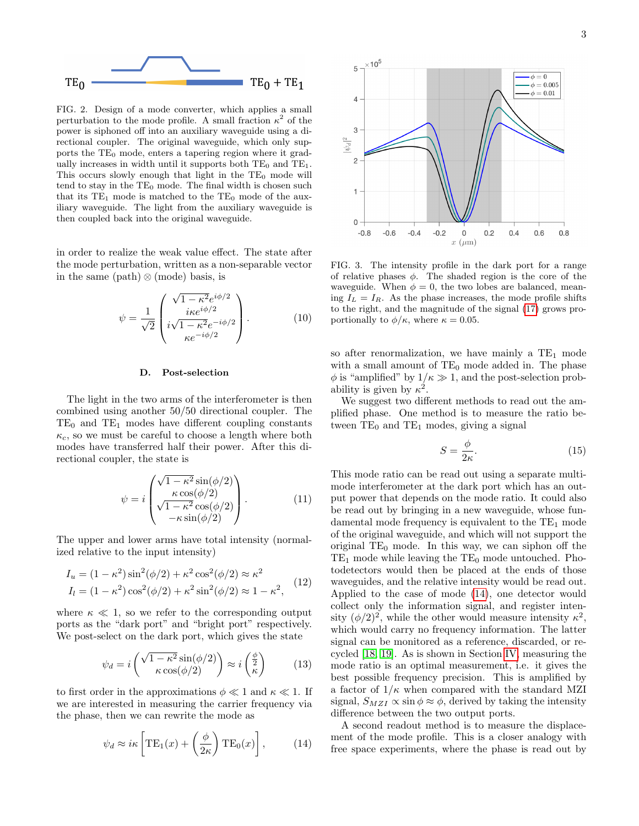

<span id="page-2-0"></span>FIG. 2. Design of a mode converter, which applies a small perturbation to the mode profile. A small fraction  $\kappa^2$  of the power is siphoned off into an auxiliary waveguide using a directional coupler. The original waveguide, which only supports the  $TE_0$  mode, enters a tapering region where it gradually increases in width until it supports both  $TE_0$  and  $TE_1$ . This occurs slowly enough that light in the  $TE_0$  mode will tend to stay in the  $TE_0$  mode. The final width is chosen such that its  $TE_1$  mode is matched to the  $TE_0$  mode of the auxiliary waveguide. The light from the auxiliary waveguide is then coupled back into the original waveguide.

in order to realize the weak value effect. The state after the mode perturbation, written as a non-separable vector in the same (path)  $\otimes$  (mode) basis, is

$$
\psi = \frac{1}{\sqrt{2}} \begin{pmatrix} \sqrt{1 - \kappa^2} e^{i\phi/2} \\ i\kappa e^{i\phi/2} \\ i\sqrt{1 - \kappa^2} e^{-i\phi/2} \\ \kappa e^{-i\phi/2} \end{pmatrix} . \tag{10}
$$

### <span id="page-2-1"></span>D. Post-selection

The light in the two arms of the interferometer is then combined using another 50/50 directional coupler. The  $TE_0$  and  $TE_1$  modes have different coupling constants  $\kappa_c$ , so we must be careful to choose a length where both modes have transferred half their power. After this directional coupler, the state is

$$
\psi = i \begin{pmatrix} \sqrt{1 - \kappa^2} \sin(\phi/2) \\ \kappa \cos(\phi/2) \\ \sqrt{1 - \kappa^2} \cos(\phi/2) \\ -\kappa \sin(\phi/2) \end{pmatrix} .
$$
 (11)

The upper and lower arms have total intensity (normalized relative to the input intensity)

$$
I_u = (1 - \kappa^2) \sin^2(\phi/2) + \kappa^2 \cos^2(\phi/2) \approx \kappa^2
$$
  
\n
$$
I_l = (1 - \kappa^2) \cos^2(\phi/2) + \kappa^2 \sin^2(\phi/2) \approx 1 - \kappa^2,
$$
 (12)

where  $\kappa \ll 1$ , so we refer to the corresponding output ports as the "dark port" and "bright port" respectively. We post-select on the dark port, which gives the state

$$
\psi_d = i \left( \frac{\sqrt{1 - \kappa^2} \sin(\phi/2)}{\kappa \cos(\phi/2)} \right) \approx i \left( \frac{\phi}{\kappa} \right) \tag{13}
$$

to first order in the approximations  $\phi \ll 1$  and  $\kappa \ll 1$ . If we are interested in measuring the carrier frequency via the phase, then we can rewrite the mode as

<span id="page-2-2"></span>
$$
\psi_d \approx i\kappa \left[ \text{TE}_1(x) + \left( \frac{\phi}{2\kappa} \right) \text{TE}_0(x) \right],
$$
\n(14)



<span id="page-2-3"></span>FIG. 3. The intensity profile in the dark port for a range of relative phases  $\phi$ . The shaded region is the core of the waveguide. When  $\phi = 0$ , the two lobes are balanced, meaning  $I_L = I_R$ . As the phase increases, the mode profile shifts to the right, and the magnitude of the signal [\(17\)](#page-3-1) grows proportionally to  $\phi/\kappa$ , where  $\kappa = 0.05$ .

so after renormalization, we have mainly a  $TE_1$  mode with a small amount of  $TE_0$  mode added in. The phase  $\phi$  is "amplified" by  $1/\kappa \gg 1$ , and the post-selection probability is given by  $\kappa^2$ .

We suggest two different methods to read out the amplified phase. One method is to measure the ratio between  $TE_0$  and  $TE_1$  modes, giving a signal

<span id="page-2-4"></span>
$$
S = \frac{\phi}{2\kappa}.\tag{15}
$$

This mode ratio can be read out using a separate multimode interferometer at the dark port which has an output power that depends on the mode ratio. It could also be read out by bringing in a new waveguide, whose fundamental mode frequency is equivalent to the  $TE_1$  mode of the original waveguide, and which will not support the original  $TE_0$  mode. In this way, we can siphon off the  $TE_1$  mode while leaving the  $TE_0$  mode untouched. Photodetectors would then be placed at the ends of those waveguides, and the relative intensity would be read out. Applied to the case of mode [\(14\)](#page-2-2), one detector would collect only the information signal, and register intensity  $(\phi/2)^2$ , while the other would measure intensity  $\kappa^2$ , which would carry no frequency information. The latter signal can be monitored as a reference, discarded, or recycled [\[18,](#page-11-4) [19\]](#page-11-5). As is shown in Section [IV,](#page-5-0) measuring the mode ratio is an optimal measurement, i.e. it gives the best possible frequency precision. This is amplified by a factor of  $1/\kappa$  when compared with the standard MZI signal,  $S_{MZI} \propto \sin \phi \approx \phi$ , derived by taking the intensity difference between the two output ports.

A second readout method is to measure the displacement of the mode profile. This is a closer analogy with free space experiments, where the phase is read out by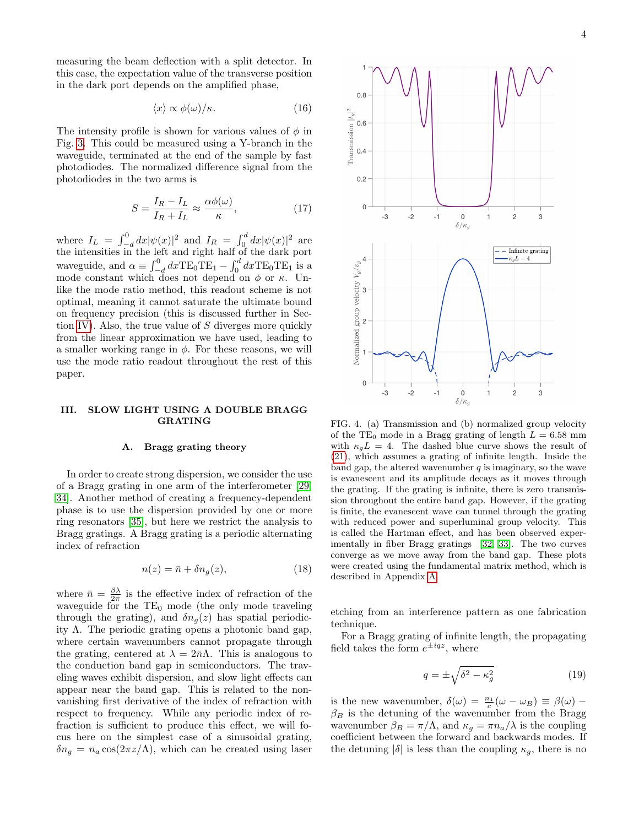measuring the beam deflection with a split detector. In this case, the expectation value of the transverse position in the dark port depends on the amplified phase,

<span id="page-3-3"></span>
$$
\langle x \rangle \propto \phi(\omega) / \kappa. \tag{16}
$$

The intensity profile is shown for various values of  $\phi$  in Fig. [3.](#page-2-3) This could be measured using a Y-branch in the waveguide, terminated at the end of the sample by fast photodiodes. The normalized difference signal from the photodiodes in the two arms is

<span id="page-3-1"></span>
$$
S = \frac{I_R - I_L}{I_R + I_L} \approx \frac{\alpha \phi(\omega)}{\kappa},\tag{17}
$$

where  $I_L = \int_{-d}^{0} dx |\psi(x)|^2$  and  $I_R = \int_{0}^{d} dx |\psi(x)|^2$  are the intensities in the left and right half of the dark port waveguide, and  $\alpha \equiv \int_{-d}^{0} dx \text{TE}_0 \text{TE}_1 - \int_{0}^{d} dx \text{TE}_0 \text{TE}_1$  is a mode constant which does not depend on  $\phi$  or  $\kappa$ . Unlike the mode ratio method, this readout scheme is not optimal, meaning it cannot saturate the ultimate bound on frequency precision (this is discussed further in Sec-tion [IV\)](#page-5-0). Also, the true value of  $S$  diverges more quickly from the linear approximation we have used, leading to a smaller working range in  $\phi$ . For these reasons, we will use the mode ratio readout throughout the rest of this paper.

#### <span id="page-3-0"></span>III. SLOW LIGHT USING A DOUBLE BRAGG GRATING

### A. Bragg grating theory

In order to create strong dispersion, we consider the use of a Bragg grating in one arm of the interferometer [\[29,](#page-11-13) [34\]](#page-11-16). Another method of creating a frequency-dependent phase is to use the dispersion provided by one or more ring resonators [\[35\]](#page-11-17), but here we restrict the analysis to Bragg gratings. A Bragg grating is a periodic alternating index of refraction

$$
n(z) = \bar{n} + \delta n_g(z),\tag{18}
$$

where  $\bar{n} = \frac{\beta \lambda}{2\pi}$  is the effective index of refraction of the waveguide for the  $TE_0$  mode (the only mode traveling through the grating), and  $\delta n_q(z)$  has spatial periodicity Λ. The periodic grating opens a photonic band gap, where certain wavenumbers cannot propagate through the grating, centered at  $\lambda = 2\bar{n}\Lambda$ . This is analogous to the conduction band gap in semiconductors. The traveling waves exhibit dispersion, and slow light effects can appear near the band gap. This is related to the nonvanishing first derivative of the index of refraction with respect to frequency. While any periodic index of refraction is sufficient to produce this effect, we will focus here on the simplest case of a sinusoidal grating,  $\delta n_g = n_a \cos(2\pi z/\Lambda)$ , which can be created using laser



<span id="page-3-2"></span>FIG. 4. (a) Transmission and (b) normalized group velocity of the TE<sub>0</sub> mode in a Bragg grating of length  $L = 6.58$  mm with  $\kappa_q L = 4$ . The dashed blue curve shows the result of [\(21\)](#page-4-0), which assumes a grating of infinite length. Inside the band gap, the altered wavenumber  $q$  is imaginary, so the wave is evanescent and its amplitude decays as it moves through the grating. If the grating is infinite, there is zero transmission throughout the entire band gap. However, if the grating is finite, the evanescent wave can tunnel through the grating with reduced power and superluminal group velocity. This is called the Hartman effect, and has been observed experimentally in fiber Bragg gratings [\[32,](#page-11-18) [33\]](#page-11-19). The two curves converge as we move away from the band gap. These plots were created using the fundamental matrix method, which is described in Appendix [A.](#page-9-1)

etching from an interference pattern as one fabrication technique.

For a Bragg grating of infinite length, the propagating field takes the form  $e^{\pm iqz}$ , where

$$
q = \pm \sqrt{\delta^2 - \kappa_g^2} \tag{19}
$$

is the new wavenumber,  $\delta(\omega) = \frac{n_1}{c}(\omega - \omega_B) \equiv \beta(\omega)$  –  $\beta_B$  is the detuning of the wavenumber from the Bragg wavenumber  $\beta_B = \pi/\Lambda$ , and  $\kappa_g = \pi n_a/\lambda$  is the coupling coefficient between the forward and backwards modes. If the detuning  $|\delta|$  is less than the coupling  $\kappa_g$ , there is no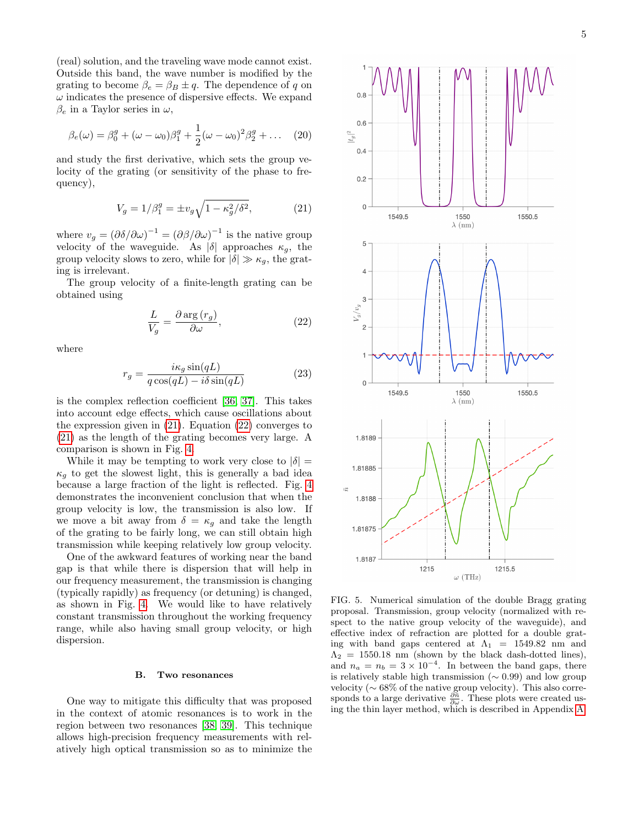(real) solution, and the traveling wave mode cannot exist. Outside this band, the wave number is modified by the grating to become  $\beta_e = \beta_B \pm q$ . The dependence of q on  $\omega$  indicates the presence of dispersive effects. We expand  $\beta_e$  in a Taylor series in  $\omega$ ,

$$
\beta_e(\omega) = \beta_0^g + (\omega - \omega_0)\beta_1^g + \frac{1}{2}(\omega - \omega_0)^2 \beta_2^g + \dots \quad (20)
$$

and study the first derivative, which sets the group velocity of the grating (or sensitivity of the phase to frequency),

<span id="page-4-0"></span>
$$
V_g = 1/\beta_1^g = \pm v_g \sqrt{1 - \kappa_g^2/\delta^2},\tag{21}
$$

where  $v_g = (\partial \delta / \partial \omega)^{-1} = (\partial \beta / \partial \omega)^{-1}$  is the native group velocity of the waveguide. As  $|\delta|$  approaches  $\kappa_g$ , the group velocity slows to zero, while for  $|\delta| \gg \kappa_g$ , the grating is irrelevant.

The group velocity of a finite-length grating can be obtained using

<span id="page-4-1"></span>
$$
\frac{L}{V_g} = \frac{\partial \arg(r_g)}{\partial \omega},\tag{22}
$$

where

$$
r_g = \frac{i\kappa_g \sin(qL)}{q \cos(qL) - i\delta \sin(qL)}\tag{23}
$$

is the complex reflection coefficient [\[36,](#page-11-20) [37\]](#page-11-21). This takes into account edge effects, which cause oscillations about the expression given in [\(21\)](#page-4-0). Equation [\(22\)](#page-4-1) converges to [\(21\)](#page-4-0) as the length of the grating becomes very large. A comparison is shown in Fig. [4.](#page-3-2)

While it may be tempting to work very close to  $|\delta|$  =  $\kappa_a$  to get the slowest light, this is generally a bad idea because a large fraction of the light is reflected. Fig. [4](#page-3-2) demonstrates the inconvenient conclusion that when the group velocity is low, the transmission is also low. If we move a bit away from  $\delta = \kappa_g$  and take the length of the grating to be fairly long, we can still obtain high transmission while keeping relatively low group velocity.

One of the awkward features of working near the band gap is that while there is dispersion that will help in our frequency measurement, the transmission is changing (typically rapidly) as frequency (or detuning) is changed, as shown in Fig. [4.](#page-3-2) We would like to have relatively constant transmission throughout the working frequency range, while also having small group velocity, or high dispersion.

## B. Two resonances

One way to mitigate this difficulty that was proposed in the context of atomic resonances is to work in the region between two resonances [\[38,](#page-11-22) [39\]](#page-11-23). This technique allows high-precision frequency measurements with relatively high optical transmission so as to minimize the



<span id="page-4-2"></span>FIG. 5. Numerical simulation of the double Bragg grating proposal. Transmission, group velocity (normalized with respect to the native group velocity of the waveguide), and effective index of refraction are plotted for a double grating with band gaps centered at  $\Lambda_1$  = 1549.82 nm and  $\Lambda_2 = 1550.18$  nm (shown by the black dash-dotted lines), and  $n_a = n_b = 3 \times 10^{-4}$ . In between the band gaps, there is relatively stable high transmission ( $\sim$  0.99) and low group velocity ( $\sim 68\%$  of the native group velocity). This also corresponds to a large derivative  $\frac{\partial \bar{n}}{\partial \omega}$ . These plots were created using the thin layer method, which is described in Appendix [A.](#page-9-1)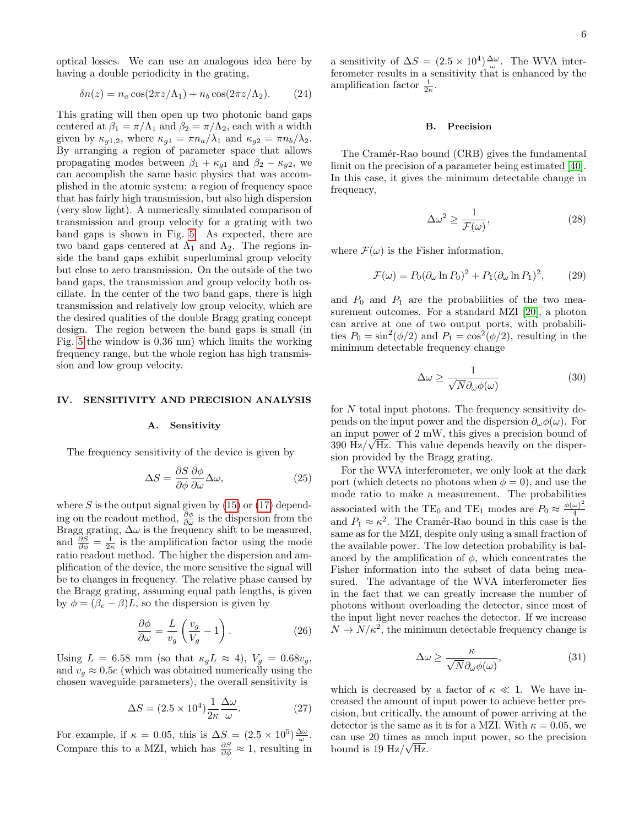optical losses. We can use an analogous idea here by having a double periodicity in the grating,

$$
\delta n(z) = n_a \cos(2\pi z/\Lambda_1) + n_b \cos(2\pi z/\Lambda_2). \tag{24}
$$

This grating will then open up two photonic band gaps centered at  $\beta_1 = \pi/\Lambda_1$  and  $\beta_2 = \pi/\Lambda_2$ , each with a width given by  $\kappa_{q1,2}$ , where  $\kappa_{q1} = \pi n_a/\lambda_1$  and  $\kappa_{q2} = \pi n_b/\lambda_2$ . By arranging a region of parameter space that allows propagating modes between  $\beta_1 + \kappa_{q1}$  and  $\beta_2 - \kappa_{q2}$ , we can accomplish the same basic physics that was accomplished in the atomic system: a region of frequency space that has fairly high transmission, but also high dispersion (very slow light). A numerically simulated comparison of transmission and group velocity for a grating with two band gaps is shown in Fig. [5.](#page-4-2) As expected, there are two band gaps centered at  $\Lambda_1$  and  $\Lambda_2$ . The regions inside the band gaps exhibit superluminal group velocity but close to zero transmission. On the outside of the two band gaps, the transmission and group velocity both oscillate. In the center of the two band gaps, there is high transmission and relatively low group velocity, which are the desired qualities of the double Bragg grating concept design. The region between the band gaps is small (in Fig. [5](#page-4-2) the window is 0.36 nm) which limits the working frequency range, but the whole region has high transmission and low group velocity.

### <span id="page-5-0"></span>IV. SENSITIVITY AND PRECISION ANALYSIS

#### A. Sensitivity

The frequency sensitivity of the device is given by

$$
\Delta S = \frac{\partial S}{\partial \phi} \frac{\partial \phi}{\partial \omega} \Delta \omega, \tag{25}
$$

where  $S$  is the output signal given by  $(15)$  or  $(17)$  depending on the readout method,  $\frac{\partial \phi}{\partial \omega}$  is the dispersion from the Bragg grating,  $\Delta \omega$  is the frequency shift to be measured, and  $\frac{\partial S}{\partial \phi} = \frac{1}{2\kappa}$  is the amplification factor using the mode ratio readout method. The higher the dispersion and amplification of the device, the more sensitive the signal will be to changes in frequency. The relative phase caused by the Bragg grating, assuming equal path lengths, is given by  $\phi = (\beta_e - \beta)L$ , so the dispersion is given by

<span id="page-5-2"></span>
$$
\frac{\partial \phi}{\partial \omega} = \frac{L}{v_g} \left( \frac{v_g}{V_g} - 1 \right). \tag{26}
$$

Using  $L = 6.58$  mm (so that  $\kappa_g L \approx 4$ ),  $V_g = 0.68v_g$ , and  $v<sub>g</sub> \approx 0.5c$  (which was obtained numerically using the chosen waveguide parameters), the overall sensitivity is

$$
\Delta S = (2.5 \times 10^4) \frac{1}{2\kappa} \frac{\Delta \omega}{\omega}.
$$
 (27)

For example, if  $\kappa = 0.05$ , this is  $\Delta S = (2.5 \times 10^5) \frac{\Delta \omega}{\omega}$ . Compare this to a MZI, which has  $\frac{\partial S}{\partial \phi} \approx 1$ , resulting in

a sensitivity of  $\Delta S = (2.5 \times 10^4) \frac{\Delta \omega}{\omega}$ . The WVA interferometer results in a sensitivity that is enhanced by the amplification factor  $\frac{1}{2\kappa}$ .

#### B. Precision

The Cramér-Rao bound (CRB) gives the fundamental limit on the precision of a parameter being estimated [\[40\]](#page-11-24). In this case, it gives the minimum detectable change in frequency,

$$
\Delta\omega^2 \ge \frac{1}{\mathcal{F}(\omega)},\tag{28}
$$

where  $\mathcal{F}(\omega)$  is the Fisher information,

$$
\mathcal{F}(\omega) = P_0(\partial_\omega \ln P_0)^2 + P_1(\partial_\omega \ln P_1)^2, \qquad (29)
$$

and  $P_0$  and  $P_1$  are the probabilities of the two measurement outcomes. For a standard MZI [\[20\]](#page-11-6), a photon can arrive at one of two output ports, with probabilities  $P_0 = \sin^2(\phi/2)$  and  $P_1 = \cos^2(\phi/2)$ , resulting in the minimum detectable frequency change

<span id="page-5-1"></span>
$$
\Delta\omega \ge \frac{1}{\sqrt{N}\partial_{\omega}\phi(\omega)}\tag{30}
$$

for N total input photons. The frequency sensitivity depends on the input power and the dispersion  $\partial_{\omega}\phi(\omega)$ . For an input power of 2 mW, this gives a precision bound of  $390 \text{ Hz}/\sqrt{\text{Hz}}$ . This value depends heavily on the dispersion provided by the Bragg grating.

For the WVA interferometer, we only look at the dark port (which detects no photons when  $\phi = 0$ ), and use the mode ratio to make a measurement. The probabilities associated with the TE<sub>0</sub> and TE<sub>1</sub> modes are  $P_0 \approx \frac{\phi(\omega)^2}{4}$ 4 and  $P_1 \approx \kappa^2$ . The Cramér-Rao bound in this case is the same as for the MZI, despite only using a small fraction of the available power. The low detection probability is balanced by the amplification of  $\phi$ , which concentrates the Fisher information into the subset of data being measured. The advantage of the WVA interferometer lies in the fact that we can greatly increase the number of photons without overloading the detector, since most of the input light never reaches the detector. If we increase  $N \to N/\kappa^2$ , the minimum detectable frequency change is

$$
\Delta \omega \ge \frac{\kappa}{\sqrt{N} \partial_{\omega} \phi(\omega)},\tag{31}
$$

which is decreased by a factor of  $\kappa \ll 1$ . We have increased the amount of input power to achieve better precision, but critically, the amount of power arriving at the detector is the same as it is for a MZI. With  $\kappa = 0.05$ , we can use 20 times as much input power, so the precision bound is 19 Hz/ $\sqrt{\text{Hz}}$ .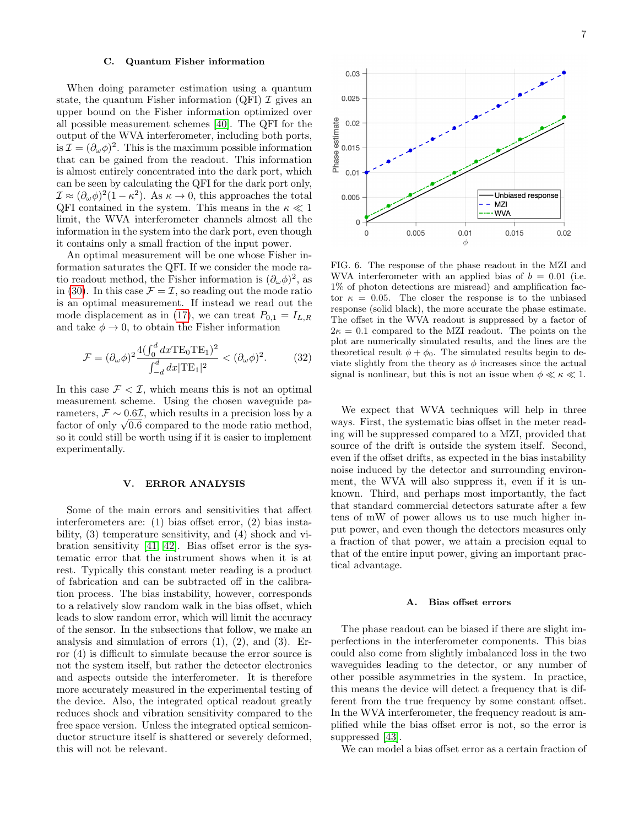### C. Quantum Fisher information

When doing parameter estimation using a quantum state, the quantum Fisher information (QFI)  $\mathcal I$  gives an upper bound on the Fisher information optimized over all possible measurement schemes [\[40\]](#page-11-24). The QFI for the output of the WVA interferometer, including both ports, is  $\mathcal{I} = (\partial_{\omega}\phi)^2$ . This is the maximum possible information that can be gained from the readout. This information is almost entirely concentrated into the dark port, which can be seen by calculating the QFI for the dark port only,  $\mathcal{I} \approx (\partial_{\omega} \phi)^2 (1 - \kappa^2)$ . As  $\kappa \to 0$ , this approaches the total QFI contained in the system. This means in the  $\kappa \ll 1$ limit, the WVA interferometer channels almost all the information in the system into the dark port, even though it contains only a small fraction of the input power.

An optimal measurement will be one whose Fisher information saturates the QFI. If we consider the mode ratio readout method, the Fisher information is  $(\partial_{\omega}\phi)^2$ , as in [\(30\)](#page-5-1). In this case  $\mathcal{F} = \mathcal{I}$ , so reading out the mode ratio is an optimal measurement. If instead we read out the mode displacement as in [\(17\)](#page-3-1), we can treat  $P_{0,1} = I_{L,R}$ and take  $\phi \rightarrow 0$ , to obtain the Fisher information

$$
\mathcal{F} = (\partial_{\omega}\phi)^2 \frac{4(\int_0^d dx \text{TE}_0 \text{TE}_1)^2}{\int_{-d}^d dx |\text{TE}_1|^2} < (\partial_{\omega}\phi)^2.
$$
 (32)

In this case  $\mathcal{F} < \mathcal{I}$ , which means this is not an optimal measurement scheme. Using the chosen waveguide parameters,  $\mathcal{F} \sim 0.6\mathcal{I}$ , which results in a precision loss by a rameters,  $\mathcal{F} \sim 0.6L$ , which results in a precision loss by a factor of only  $\sqrt{0.6}$  compared to the mode ratio method, so it could still be worth using if it is easier to implement experimentally.

## <span id="page-6-0"></span>V. ERROR ANALYSIS

Some of the main errors and sensitivities that affect interferometers are: (1) bias offset error, (2) bias instability, (3) temperature sensitivity, and (4) shock and vibration sensitivity [\[41,](#page-11-25) [42\]](#page-11-26). Bias offset error is the systematic error that the instrument shows when it is at rest. Typically this constant meter reading is a product of fabrication and can be subtracted off in the calibration process. The bias instability, however, corresponds to a relatively slow random walk in the bias offset, which leads to slow random error, which will limit the accuracy of the sensor. In the subsections that follow, we make an analysis and simulation of errors  $(1)$ ,  $(2)$ , and  $(3)$ . Error (4) is difficult to simulate because the error source is not the system itself, but rather the detector electronics and aspects outside the interferometer. It is therefore more accurately measured in the experimental testing of the device. Also, the integrated optical readout greatly reduces shock and vibration sensitivity compared to the free space version. Unless the integrated optical semiconductor structure itself is shattered or severely deformed, this will not be relevant.



<span id="page-6-1"></span>FIG. 6. The response of the phase readout in the MZI and WVA interferometer with an applied bias of  $b = 0.01$  (i.e. 1% of photon detections are misread) and amplification factor  $\kappa = 0.05$ . The closer the response is to the unbiased response (solid black), the more accurate the phase estimate. The offset in the WVA readout is suppressed by a factor of  $2\kappa = 0.1$  compared to the MZI readout. The points on the plot are numerically simulated results, and the lines are the theoretical result  $\phi + \phi_0$ . The simulated results begin to deviate slightly from the theory as  $\phi$  increases since the actual signal is nonlinear, but this is not an issue when  $\phi \ll \kappa \ll 1$ .

We expect that WVA techniques will help in three ways. First, the systematic bias offset in the meter reading will be suppressed compared to a MZI, provided that source of the drift is outside the system itself. Second, even if the offset drifts, as expected in the bias instability noise induced by the detector and surrounding environment, the WVA will also suppress it, even if it is unknown. Third, and perhaps most importantly, the fact that standard commercial detectors saturate after a few tens of mW of power allows us to use much higher input power, and even though the detectors measures only a fraction of that power, we attain a precision equal to that of the entire input power, giving an important practical advantage.

#### A. Bias offset errors

The phase readout can be biased if there are slight imperfections in the interferometer components. This bias could also come from slightly imbalanced loss in the two waveguides leading to the detector, or any number of other possible asymmetries in the system. In practice, this means the device will detect a frequency that is different from the true frequency by some constant offset. In the WVA interferometer, the frequency readout is amplified while the bias offset error is not, so the error is suppressed [\[43\]](#page-11-27).

We can model a bias offset error as a certain fraction of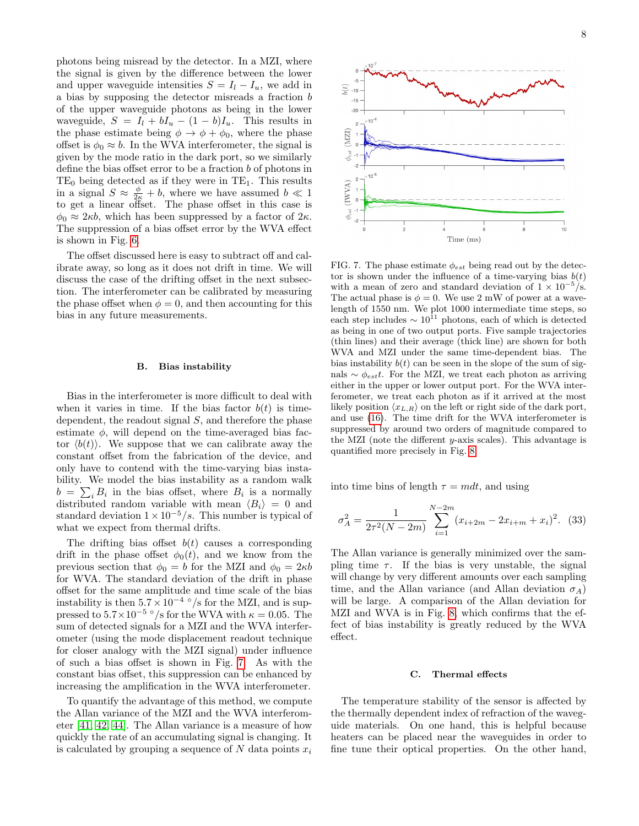photons being misread by the detector. In a MZI, where the signal is given by the difference between the lower and upper waveguide intensities  $S = I_l - I_u$ , we add in a bias by supposing the detector misreads a fraction b of the upper waveguide photons as being in the lower waveguide,  $S = I_l + bI_u - (1 - b)I_u$ . This results in the phase estimate being  $\phi \to \phi + \phi_0$ , where the phase offset is  $\phi_0 \approx b$ . In the WVA interferometer, the signal is given by the mode ratio in the dark port, so we similarly define the bias offset error to be a fraction  $b$  of photons in  $TE_0$  being detected as if they were in  $TE_1$ . This results in a signal  $S \approx \frac{\phi}{2\kappa} + b$ , where we have assumed  $b \ll 1$ to get a linear offset. The phase offset in this case is  $\phi_0 \approx 2\kappa b$ , which has been suppressed by a factor of  $2\kappa$ . The suppression of a bias offset error by the WVA effect is shown in Fig. [6.](#page-6-1)

The offset discussed here is easy to subtract off and calibrate away, so long as it does not drift in time. We will discuss the case of the drifting offset in the next subsection. The interferometer can be calibrated by measuring the phase offset when  $\phi = 0$ , and then accounting for this bias in any future measurements.

#### B. Bias instability

Bias in the interferometer is more difficult to deal with when it varies in time. If the bias factor  $b(t)$  is timedependent, the readout signal  $S$ , and therefore the phase estimate  $\phi$ , will depend on the time-averaged bias factor  $\langle b(t) \rangle$ . We suppose that we can calibrate away the constant offset from the fabrication of the device, and only have to contend with the time-varying bias instability. We model the bias instability as a random walk  $b = \sum_i B_i$  in the bias offset, where  $B_i$  is a normally distributed random variable with mean  $\langle B_i \rangle = 0$  and standard deviation  $1 \times 10^{-5}/s$ . This number is typical of what we expect from thermal drifts.

The drifting bias offset  $b(t)$  causes a corresponding drift in the phase offset  $\phi_0(t)$ , and we know from the previous section that  $\phi_0 = b$  for the MZI and  $\phi_0 = 2\kappa b$ for WVA. The standard deviation of the drift in phase offset for the same amplitude and time scale of the bias instability is then  $5.7 \times 10^{-4}$  °/s for the MZI, and is suppressed to  $5.7 \times 10^{-5}$  °/s for the WVA with  $\kappa = 0.05$ . The sum of detected signals for a MZI and the WVA interferometer (using the mode displacement readout technique for closer analogy with the MZI signal) under influence of such a bias offset is shown in Fig. [7.](#page-7-0) As with the constant bias offset, this suppression can be enhanced by increasing the amplification in the WVA interferometer.

To quantify the advantage of this method, we compute the Allan variance of the MZI and the WVA interferometer [\[41,](#page-11-25) [42,](#page-11-26) [44\]](#page-11-28). The Allan variance is a measure of how quickly the rate of an accumulating signal is changing. It is calculated by grouping a sequence of N data points  $x_i$ 



<span id="page-7-0"></span>FIG. 7. The phase estimate  $\phi_{est}$  being read out by the detector is shown under the influence of a time-varying bias  $b(t)$ with a mean of zero and standard deviation of  $1 \times 10^{-5}/s$ . The actual phase is  $\phi = 0$ . We use 2 mW of power at a wavelength of 1550 nm. We plot 1000 intermediate time steps, so each step includes  $\sim 10^{11}$  photons, each of which is detected as being in one of two output ports. Five sample trajectories (thin lines) and their average (thick line) are shown for both WVA and MZI under the same time-dependent bias. The bias instability  $b(t)$  can be seen in the slope of the sum of signals  $\sim \phi_{est}t$ . For the MZI, we treat each photon as arriving either in the upper or lower output port. For the WVA interferometer, we treat each photon as if it arrived at the most likely position  $\langle x_{L,R} \rangle$  on the left or right side of the dark port, and use [\(16\)](#page-3-3). The time drift for the WVA interferometer is suppressed by around two orders of magnitude compared to the MZI (note the different y-axis scales). This advantage is quantified more precisely in Fig. [8.](#page-8-0)

into time bins of length  $\tau = m dt$ , and using

$$
\sigma_A^2 = \frac{1}{2\tau^2 (N - 2m)} \sum_{i=1}^{N-2m} (x_{i+2m} - 2x_{i+m} + x_i)^2.
$$
 (33)

The Allan variance is generally minimized over the sampling time  $\tau$ . If the bias is very unstable, the signal will change by very different amounts over each sampling time, and the Allan variance (and Allan deviation  $\sigma_A$ ) will be large. A comparison of the Allan deviation for MZI and WVA is in Fig. [8,](#page-8-0) which confirms that the effect of bias instability is greatly reduced by the WVA effect.

#### C. Thermal effects

The temperature stability of the sensor is affected by the thermally dependent index of refraction of the waveguide materials. On one hand, this is helpful because heaters can be placed near the waveguides in order to fine tune their optical properties. On the other hand,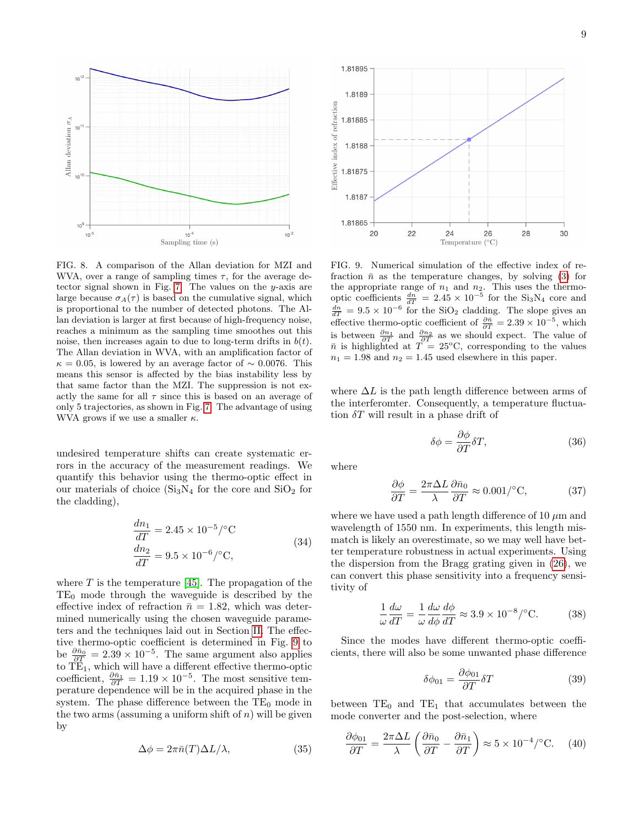

<span id="page-8-0"></span>FIG. 8. A comparison of the Allan deviation for MZI and WVA, over a range of sampling times  $\tau$ , for the average detector signal shown in Fig. [7.](#page-7-0) The values on the y-axis are large because  $\sigma_A(\tau)$  is based on the cumulative signal, which is proportional to the number of detected photons. The Allan deviation is larger at first because of high-frequency noise, reaches a minimum as the sampling time smoothes out this noise, then increases again to due to long-term drifts in  $b(t)$ . The Allan deviation in WVA, with an amplification factor of  $\kappa = 0.05$ , is lowered by an average factor of ~ 0.0076. This means this sensor is affected by the bias instability less by that same factor than the MZI. The suppression is not exactly the same for all  $\tau$  since this is based on an average of only 5 trajectories, as shown in Fig. [7.](#page-7-0) The advantage of using WVA grows if we use a smaller  $\kappa$ .

undesired temperature shifts can create systematic errors in the accuracy of the measurement readings. We quantify this behavior using the thermo-optic effect in our materials of choice  $(Si<sub>3</sub>N<sub>4</sub>$  for the core and  $SiO<sub>2</sub>$  for the cladding),

$$
\frac{dn_1}{dT} = 2.45 \times 10^{-5} / ^{\circ} \text{C}
$$
\n
$$
\frac{dn_2}{dT} = 9.5 \times 10^{-6} / ^{\circ} \text{C},
$$
\n(34)

where  $T$  is the temperature [\[45\]](#page-11-29). The propagation of the  $TE<sub>0</sub>$  mode through the waveguide is described by the effective index of refraction  $\bar{n} = 1.82$ , which was determined numerically using the chosen waveguide parameters and the techniques laid out in Section [II.](#page-0-1) The effective thermo-optic coefficient is determined in Fig. [9](#page-8-1) to be  $\frac{\partial \bar{n}_0}{\partial T} = 2.39 \times 10^{-5}$ . The same argument also applies to  $TE_1$ , which will have a different effective thermo-optic coefficient,  $\frac{\partial \bar{n}_1}{\partial T} = 1.19 \times 10^{-5}$ . The most sensitive temperature dependence will be in the acquired phase in the system. The phase difference between the  $TE_0$  mode in the two arms (assuming a uniform shift of  $n$ ) will be given by

$$
\Delta \phi = 2\pi \bar{n}(T)\Delta L/\lambda, \qquad (35)
$$



<span id="page-8-1"></span>FIG. 9. Numerical simulation of the effective index of refraction  $\bar{n}$  as the temperature changes, by solving [\(3\)](#page-1-1) for the appropriate range of  $n_1$  and  $n_2$ . This uses the thermooptic coefficients  $\frac{dn}{dT} = 2.45 \times 10^{-5}$  for the Si<sub>3</sub>N<sub>4</sub> core and  $\frac{dn}{dT} = 9.5 \times 10^{-6}$  for the SiO<sub>2</sub> cladding. The slope gives an effective thermo-optic coefficient of  $\frac{\partial \bar{n}}{\partial T} = 2.39 \times 10^{-5}$ , which is between  $\frac{\partial n_1}{\partial T}$  and  $\frac{\partial n_2}{\partial T}$  as we should expect. The value of  $\bar{n}$  is highlighted at  $T = 25^{\circ}\text{C}$ , corresponding to the values  $n_1 = 1.98$  and  $n_2 = 1.45$  used elsewhere in this paper.

where  $\Delta L$  is the path length difference between arms of the interferomter. Consequently, a temperature fluctuation  $\delta T$  will result in a phase drift of

$$
\delta \phi = \frac{\partial \phi}{\partial T} \delta T,\tag{36}
$$

where

<span id="page-8-2"></span>
$$
\frac{\partial \phi}{\partial T} = \frac{2\pi \Delta L}{\lambda} \frac{\partial \bar{n}_0}{\partial T} \approx 0.001\text{/}^{\circ}\text{C},\tag{37}
$$

where we have used a path length difference of 10  $\mu$ m and wavelength of 1550 nm. In experiments, this length mismatch is likely an overestimate, so we may well have better temperature robustness in actual experiments. Using the dispersion from the Bragg grating given in [\(26\)](#page-5-2), we can convert this phase sensitivity into a frequency sensitivity of

$$
\frac{1}{\omega} \frac{d\omega}{dT} = \frac{1}{\omega} \frac{d\omega}{d\phi} \frac{d\phi}{dT} \approx 3.9 \times 10^{-8} / \text{°C}.
$$
 (38)

Since the modes have different thermo-optic coefficients, there will also be some unwanted phase difference

$$
\delta\phi_{01} = \frac{\partial\phi_{01}}{\partial T} \delta T \tag{39}
$$

between  $TE_0$  and  $TE_1$  that accumulates between the mode converter and the post-selection, where

$$
\frac{\partial \phi_{01}}{\partial T} = \frac{2\pi \Delta L}{\lambda} \left( \frac{\partial \bar{n}_0}{\partial T} - \frac{\partial \bar{n}_1}{\partial T} \right) \approx 5 \times 10^{-4} / \text{°C.} \quad (40)
$$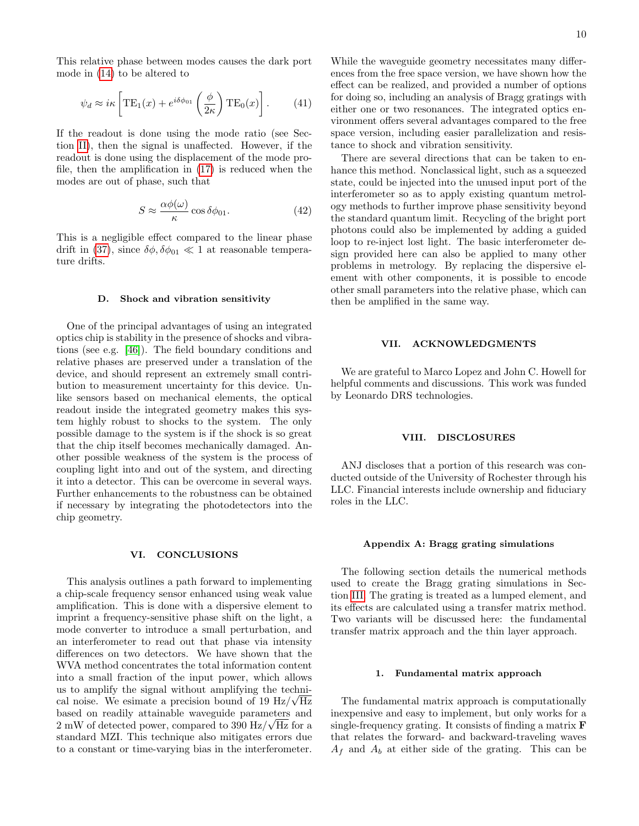This relative phase between modes causes the dark port mode in [\(14\)](#page-2-2) to be altered to

$$
\psi_d \approx i\kappa \left[ \text{TE}_1(x) + e^{i\delta\phi_{01}} \left( \frac{\phi}{2\kappa} \right) \text{TE}_0(x) \right]. \tag{41}
$$

If the readout is done using the mode ratio (see Section [II\)](#page-0-1), then the signal is unaffected. However, if the readout is done using the displacement of the mode profile, then the amplification in [\(17\)](#page-3-1) is reduced when the modes are out of phase, such that

$$
S \approx \frac{\alpha \phi(\omega)}{\kappa} \cos \delta \phi_{01}.
$$
 (42)

This is a negligible effect compared to the linear phase drift in [\(37\)](#page-8-2), since  $\delta\phi$ ,  $\delta\phi_{01} \ll 1$  at reasonable temperature drifts.

#### D. Shock and vibration sensitivity

One of the principal advantages of using an integrated optics chip is stability in the presence of shocks and vibrations (see e.g. [\[46\]](#page-12-0)). The field boundary conditions and relative phases are preserved under a translation of the device, and should represent an extremely small contribution to measurement uncertainty for this device. Unlike sensors based on mechanical elements, the optical readout inside the integrated geometry makes this system highly robust to shocks to the system. The only possible damage to the system is if the shock is so great that the chip itself becomes mechanically damaged. Another possible weakness of the system is the process of coupling light into and out of the system, and directing it into a detector. This can be overcome in several ways. Further enhancements to the robustness can be obtained if necessary by integrating the photodetectors into the chip geometry.

# <span id="page-9-0"></span>VI. CONCLUSIONS

This analysis outlines a path forward to implementing a chip-scale frequency sensor enhanced using weak value amplification. This is done with a dispersive element to imprint a frequency-sensitive phase shift on the light, a mode converter to introduce a small perturbation, and an interferometer to read out that phase via intensity differences on two detectors. We have shown that the WVA method concentrates the total information content into a small fraction of the input power, which allows us to amplify the signal without amplifying the technical noise. We esimate a precision bound of 19  $\rm Hz/\sqrt{Hz}$ based on readily attainable waveguide parameters and √  $2 \text{ mW}$  of detected power, compared to 390 Hz/ $\sqrt{\text{Hz}}$  for a standard MZI. This technique also mitigates errors due to a constant or time-varying bias in the interferometer.

While the waveguide geometry necessitates many differences from the free space version, we have shown how the effect can be realized, and provided a number of options for doing so, including an analysis of Bragg gratings with either one or two resonances. The integrated optics environment offers several advantages compared to the free space version, including easier parallelization and resistance to shock and vibration sensitivity.

There are several directions that can be taken to enhance this method. Nonclassical light, such as a squeezed state, could be injected into the unused input port of the interferometer so as to apply existing quantum metrology methods to further improve phase sensitivity beyond the standard quantum limit. Recycling of the bright port photons could also be implemented by adding a guided loop to re-inject lost light. The basic interferometer design provided here can also be applied to many other problems in metrology. By replacing the dispersive element with other components, it is possible to encode other small parameters into the relative phase, which can then be amplified in the same way.

# VII. ACKNOWLEDGMENTS

We are grateful to Marco Lopez and John C. Howell for helpful comments and discussions. This work was funded by Leonardo DRS technologies.

# VIII. DISCLOSURES

ANJ discloses that a portion of this research was conducted outside of the University of Rochester through his LLC. Financial interests include ownership and fiduciary roles in the LLC.

#### <span id="page-9-1"></span>Appendix A: Bragg grating simulations

The following section details the numerical methods used to create the Bragg grating simulations in Section [III.](#page-3-0) The grating is treated as a lumped element, and its effects are calculated using a transfer matrix method. Two variants will be discussed here: the fundamental transfer matrix approach and the thin layer approach.

#### 1. Fundamental matrix approach

The fundamental matrix approach is computationally inexpensive and easy to implement, but only works for a single-frequency grating. It consists of finding a matrix F that relates the forward- and backward-traveling waves  $A_f$  and  $A_b$  at either side of the grating. This can be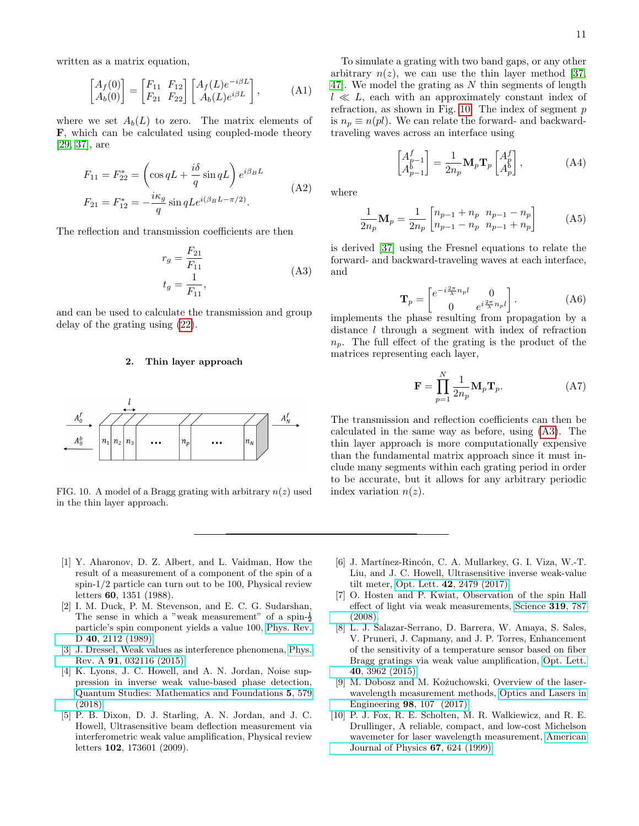written as a matrix equation,

$$
\begin{bmatrix} A_f(0) \\ A_b(0) \end{bmatrix} = \begin{bmatrix} F_{11} & F_{12} \\ F_{21} & F_{22} \end{bmatrix} \begin{bmatrix} A_f(L)e^{-i\beta L} \\ A_b(L)e^{i\beta L} \end{bmatrix},
$$
 (A1)

where we set  $A_b(L)$  to zero. The matrix elements of F, which can be calculated using coupled-mode theory [\[29,](#page-11-13) [37\]](#page-11-21), are

$$
F_{11} = F_{22}^* = \left(\cos qL + \frac{i\delta}{q}\sin qL\right)e^{i\beta_B L}
$$
  
\n
$$
F_{21} = F_{12}^* = -\frac{i\kappa_g}{q}\sin qLe^{i(\beta_B L - \pi/2)}.
$$
\n(A2)

<span id="page-10-9"></span>The reflection and transmission coefficients are then

$$
r_g = \frac{F_{21}}{F_{11}} \n t_g = \frac{1}{F_{11}},
$$
\n(A3)

and can be used to calculate the transmission and group delay of the grating using [\(22\)](#page-4-1).

## 2. Thin layer approach



<span id="page-10-8"></span>FIG. 10. A model of a Bragg grating with arbitrary  $n(z)$  used in the thin layer approach.

To simulate a grating with two band gaps, or any other arbitrary  $n(z)$ , we can use the thin layer method [\[37,](#page-11-21) [47\]](#page-12-1). We model the grating as N thin segments of length  $l \ll L$ , each with an approximately constant index of refraction, as shown in Fig. [10.](#page-10-8) The index of segment  $p$ is  $n_p \equiv n(pl)$ . We can relate the forward- and backwardtraveling waves across an interface using

$$
\begin{bmatrix} A^f_{p-1} \\ A^b_{p-1} \end{bmatrix} = \frac{1}{2n_p} \mathbf{M}_p \mathbf{T}_p \begin{bmatrix} A^f_p \\ A^b_p \end{bmatrix},
$$
 (A4)

where

$$
\frac{1}{2n_p} \mathbf{M}_p = \frac{1}{2n_p} \begin{bmatrix} n_{p-1} + n_p & n_{p-1} - n_p \\ n_{p-1} - n_p & n_{p-1} + n_p \end{bmatrix}
$$
 (A5)

is derived [\[37\]](#page-11-21) using the Fresnel equations to relate the forward- and backward-traveling waves at each interface, and

$$
\mathbf{T}_p = \begin{bmatrix} e^{-i\frac{2\pi}{\lambda}n_p l} & 0\\ 0 & e^{i\frac{2\pi}{\lambda}n_p l} \end{bmatrix} . \tag{A6}
$$

implements the phase resulting from propagation by a distance l through a segment with index of refraction  $n_p$ . The full effect of the grating is the product of the matrices representing each layer,

$$
\mathbf{F} = \prod_{p=1}^{N} \frac{1}{2n_p} \mathbf{M}_p \mathbf{T}_p.
$$
 (A7)

The transmission and reflection coefficients can then be calculated in the same way as before, using [\(A3\)](#page-10-9). The thin layer approach is more computationally expensive than the fundamental matrix approach since it must include many segments within each grating period in order to be accurate, but it allows for any arbitrary periodic index variation  $n(z)$ .

- <span id="page-10-0"></span>[1] Y. Aharonov, D. Z. Albert, and L. Vaidman, How the result of a measurement of a component of the spin of a spin-1/2 particle can turn out to be 100, Physical review letters 60, 1351 (1988).
- [2] I. M. Duck, P. M. Stevenson, and E. C. G. Sudarshan, The sense in which a "weak measurement" of a spin- $\frac{1}{2}$ particle's spin component yields a value 100, [Phys. Rev.](https://doi.org/10.1103/PhysRevD.40.2112) D 40[, 2112 \(1989\).](https://doi.org/10.1103/PhysRevD.40.2112)
- <span id="page-10-1"></span>[3] J. Dressel, Weak values as interference phenomena, [Phys.](https://doi.org/10.1103/PhysRevA.91.032116) Rev. A 91[, 032116 \(2015\).](https://doi.org/10.1103/PhysRevA.91.032116)
- <span id="page-10-2"></span>[4] K. Lyons, J. C. Howell, and A. N. Jordan, Noise suppression in inverse weak value-based phase detection, [Quantum Studies: Mathematics and Foundations](https://doi.org/10.1007/s40509-017-0145-7) 5, 579 [\(2018\).](https://doi.org/10.1007/s40509-017-0145-7)
- <span id="page-10-3"></span>[5] P. B. Dixon, D. J. Starling, A. N. Jordan, and J. C. Howell, Ultrasensitive beam deflection measurement via interferometric weak value amplification, Physical review letters 102, 173601 (2009).
- <span id="page-10-4"></span>[6] J. Martínez-Rincón, C. A. Mullarkey, G. I. Viza, W.-T. Liu, and J. C. Howell, Ultrasensitive inverse weak-value tilt meter, Opt. Lett. 42[, 2479 \(2017\).](https://doi.org/10.1364/OL.42.002479)
- <span id="page-10-5"></span>[7] O. Hosten and P. Kwiat, Observation of the spin Hall effect of light via weak measurements, [Science](https://doi.org/10.1126/science.1152697) 319, 787 [\(2008\).](https://doi.org/10.1126/science.1152697)
- <span id="page-10-6"></span>[8] L. J. Salazar-Serrano, D. Barrera, W. Amaya, S. Sales, V. Pruneri, J. Capmany, and J. P. Torres, Enhancement of the sensitivity of a temperature sensor based on fiber Bragg gratings via weak value amplification, [Opt. Lett.](https://doi.org/10.1364/OL.40.003962) 40[, 3962 \(2015\).](https://doi.org/10.1364/OL.40.003962)
- <span id="page-10-7"></span>[9] M. Dobosz and M. Kożuchowski, Overview of the laserwavelength measurement methods, [Optics and Lasers in](https://doi.org/https://doi.org/10.1016/j.optlaseng.2017.06.006) Engineering 98[, 107 \(2017\).](https://doi.org/https://doi.org/10.1016/j.optlaseng.2017.06.006)
- [10] P. J. Fox, R. E. Scholten, M. R. Walkiewicz, and R. E. Drullinger, A reliable, compact, and low-cost Michelson wavemeter for laser wavelength measurement, [American](https://doi.org/10.1119/1.19335) [Journal of Physics](https://doi.org/10.1119/1.19335) 67, 624 (1999).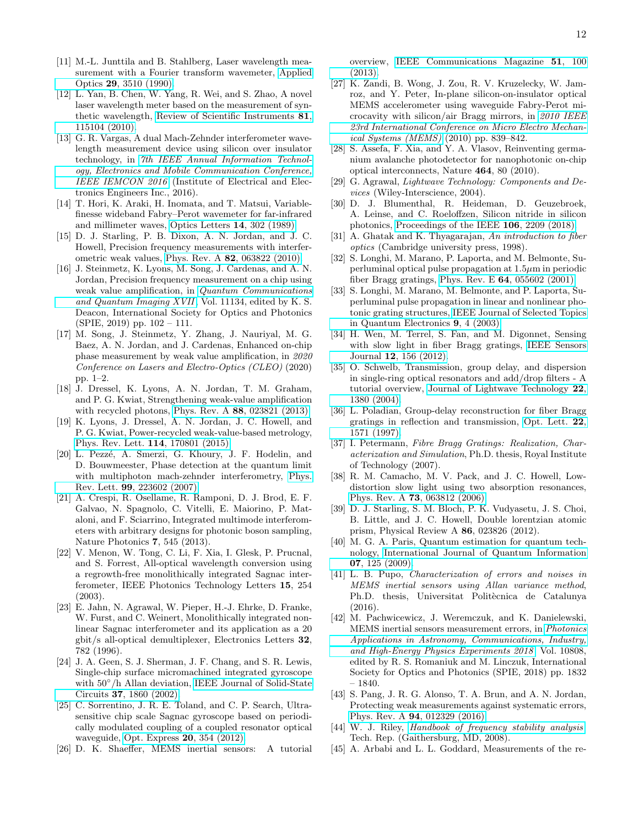- [11] M.-L. Junttila and B. Stahlberg, Laser wavelength measurement with a Fourier transform wavemeter, [Applied](https://doi.org/10.1364/ao.29.003510) Optics 29[, 3510 \(1990\).](https://doi.org/10.1364/ao.29.003510)
- [12] L. Yan, B. Chen, W. Yang, R. Wei, and S. Zhao, A novel laser wavelength meter based on the measurement of synthetic wavelength, [Review of Scientific Instruments](https://doi.org/10.1063/1.3494615) 81, [115104 \(2010\).](https://doi.org/10.1063/1.3494615)
- [13] G. R. Vargas, A dual Mach-Zehnder interferometer wavelength measurement device using silicon over insulator technology, in [7th IEEE Annual Information Technol](https://doi.org/10.1109/IEMCON.2016.7746275)[ogy, Electronics and Mobile Communication Conference,](https://doi.org/10.1109/IEMCON.2016.7746275) [IEEE IEMCON 2016](https://doi.org/10.1109/IEMCON.2016.7746275) (Institute of Electrical and Electronics Engineers Inc., 2016).
- <span id="page-11-0"></span>[14] T. Hori, K. Araki, H. Inomata, and T. Matsui, Variablefinesse wideband Fabry–Perot wavemeter for far-infrared and millimeter waves, [Optics Letters](https://doi.org/10.1364/ol.14.000302) 14, 302 (1989).
- <span id="page-11-1"></span>[15] D. J. Starling, P. B. Dixon, A. N. Jordan, and J. C. Howell, Precision frequency measurements with interferometric weak values, Phys. Rev. A 82[, 063822 \(2010\).](https://doi.org/10.1103/PhysRevA.82.063822)
- <span id="page-11-2"></span>[16] J. Steinmetz, K. Lyons, M. Song, J. Cardenas, and A. N. Jordan, Precision frequency measurement on a chip using weak value amplification, in [Quantum Communications](https://doi.org/10.1117/12.2529564) [and Quantum Imaging XVII](https://doi.org/10.1117/12.2529564), Vol. 11134, edited by K. S. Deacon, International Society for Optics and Photonics (SPIE, 2019) pp. 102 – 111.
- <span id="page-11-3"></span>[17] M. Song, J. Steinmetz, Y. Zhang, J. Nauriyal, M. G. Baez, A. N. Jordan, and J. Cardenas, Enhanced on-chip phase measurement by weak value amplification, in 2020 Conference on Lasers and Electro-Optics (CLEO) (2020) pp. 1–2.
- <span id="page-11-4"></span>[18] J. Dressel, K. Lyons, A. N. Jordan, T. M. Graham, and P. G. Kwiat, Strengthening weak-value amplification with recycled photons, Phys. Rev. A 88[, 023821 \(2013\).](https://doi.org/10.1103/PhysRevA.88.023821)
- <span id="page-11-5"></span>[19] K. Lyons, J. Dressel, A. N. Jordan, J. C. Howell, and P. G. Kwiat, Power-recycled weak-value-based metrology, [Phys. Rev. Lett.](https://doi.org/10.1103/PhysRevLett.114.170801) 114, 170801 (2015).
- <span id="page-11-6"></span>[20] L. Pezzé, A. Smerzi, G. Khoury, J. F. Hodelin, and D. Bouwmeester, Phase detection at the quantum limit with multiphoton mach-zehnder interferometry, [Phys.](https://doi.org/10.1103/PhysRevLett.99.223602) Rev. Lett. 99[, 223602 \(2007\).](https://doi.org/10.1103/PhysRevLett.99.223602)
- <span id="page-11-7"></span>[21] A. Crespi, R. Osellame, R. Ramponi, D. J. Brod, E. F. Galvao, N. Spagnolo, C. Vitelli, E. Maiorino, P. Mataloni, and F. Sciarrino, Integrated multimode interferometers with arbitrary designs for photonic boson sampling, Nature Photonics 7, 545 (2013).
- <span id="page-11-8"></span>[22] V. Menon, W. Tong, C. Li, F. Xia, I. Glesk, P. Prucnal, and S. Forrest, All-optical wavelength conversion using a regrowth-free monolithically integrated Sagnac interferometer, IEEE Photonics Technology Letters 15, 254 (2003).
- <span id="page-11-9"></span>[23] E. Jahn, N. Agrawal, W. Pieper, H.-J. Ehrke, D. Franke, W. Furst, and C. Weinert, Monolithically integrated nonlinear Sagnac interferometer and its application as a 20 gbit/s all-optical demultiplexer, Electronics Letters 32, 782 (1996).
- <span id="page-11-10"></span>[24] J. A. Geen, S. J. Sherman, J. F. Chang, and S. R. Lewis, Single-chip surface micromachined integrated gyroscope with  $50^{\circ}/h$  Allan deviation, [IEEE Journal of Solid-State](https://doi.org/10.1109/JSSC.2002.804345) Circuits 37[, 1860 \(2002\).](https://doi.org/10.1109/JSSC.2002.804345)
- [25] C. Sorrentino, J. R. E. Toland, and C. P. Search, Ultrasensitive chip scale Sagnac gyroscope based on periodically modulated coupling of a coupled resonator optical waveguide, [Opt. Express](https://doi.org/10.1364/OE.20.000354) 20, 354 (2012).
- [26] D. K. Shaeffer, MEMS inertial sensors: A tutorial

overview, [IEEE Communications Magazine](https://doi.org/10.1109/MCOM.2013.6495768) 51, 100 [\(2013\).](https://doi.org/10.1109/MCOM.2013.6495768)

- <span id="page-11-11"></span>[27] K. Zandi, B. Wong, J. Zou, R. V. Kruzelecky, W. Jamroz, and Y. Peter, In-plane silicon-on-insulator optical MEMS accelerometer using waveguide Fabry-Perot microcavity with silicon/air Bragg mirrors, in [2010 IEEE](https://doi.org/10.1109/MEMSYS.2010.5442337) [23rd International Conference on Micro Electro Mechan](https://doi.org/10.1109/MEMSYS.2010.5442337)[ical Systems \(MEMS\)](https://doi.org/10.1109/MEMSYS.2010.5442337) (2010) pp. 839–842.
- <span id="page-11-12"></span>[28] S. Assefa, F. Xia, and Y. A. Vlasov, Reinventing germanium avalanche photodetector for nanophotonic on-chip optical interconnects, Nature 464, 80 (2010).
- <span id="page-11-13"></span>[29] G. Agrawal, Lightwave Technology: Components and Devices (Wiley-Interscience, 2004).
- <span id="page-11-14"></span>[30] D. J. Blumenthal, R. Heideman, D. Geuzebroek, A. Leinse, and C. Roeloffzen, Silicon nitride in silicon photonics, [Proceedings of the IEEE](https://doi.org/10.1109/JPROC.2018.2861576) 106, 2209 (2018).
- <span id="page-11-15"></span>[31] A. Ghatak and K. Thyagarajan, An introduction to fiber optics (Cambridge university press, 1998).
- <span id="page-11-18"></span>[32] S. Longhi, M. Marano, P. Laporta, and M. Belmonte, Superluminal optical pulse propagation at  $1.5\mu$ m in periodic fiber Bragg gratings, Phys. Rev. E 64[, 055602 \(2001\).](https://doi.org/10.1103/PhysRevE.64.055602)
- <span id="page-11-19"></span>[33] S. Longhi, M. Marano, M. Belmonte, and P. Laporta, Superluminal pulse propagation in linear and nonlinear photonic grating structures, [IEEE Journal of Selected Topics](https://doi.org/10.1109/JSTQE.2002.807976) [in Quantum Electronics](https://doi.org/10.1109/JSTQE.2002.807976) 9, 4 (2003).
- <span id="page-11-16"></span>[34] H. Wen, M. Terrel, S. Fan, and M. Digonnet, Sensing with slow light in fiber Bragg gratings, [IEEE Sensors](https://doi.org/10.1109/JSEN.2011.2135343) Journal 12[, 156 \(2012\).](https://doi.org/10.1109/JSEN.2011.2135343)
- <span id="page-11-17"></span>[35] O. Schwelb, Transmission, group delay, and dispersion in single-ring optical resonators and add/drop filters - A tutorial overview, [Journal of Lightwave Technology](https://doi.org/10.1109/JLT.2004.827666) 22, [1380 \(2004\).](https://doi.org/10.1109/JLT.2004.827666)
- <span id="page-11-20"></span>[36] L. Poladian, Group-delay reconstruction for fiber Bragg gratings in reflection and transmission, [Opt. Lett.](https://doi.org/10.1364/OL.22.001571) 22, [1571 \(1997\).](https://doi.org/10.1364/OL.22.001571)
- <span id="page-11-21"></span>[37] I. Petermann, Fibre Bragg Gratings: Realization, Characterization and Simulation, Ph.D. thesis, Royal Institute of Technology (2007).
- <span id="page-11-22"></span>[38] R. M. Camacho, M. V. Pack, and J. C. Howell, Lowdistortion slow light using two absorption resonances, Phys. Rev. A 73[, 063812 \(2006\).](https://doi.org/10.1103/PhysRevA.73.063812)
- <span id="page-11-23"></span>[39] D. J. Starling, S. M. Bloch, P. K. Vudyasetu, J. S. Choi, B. Little, and J. C. Howell, Double lorentzian atomic prism, Physical Review A 86, 023826 (2012).
- <span id="page-11-24"></span>[40] M. G. A. Paris, Quantum estimation for quantum technology, [International Journal of Quantum Information](https://doi.org/10.1142/S0219749909004839) 07[, 125 \(2009\).](https://doi.org/10.1142/S0219749909004839)
- <span id="page-11-25"></span>[41] L. B. Pupo, Characterization of errors and noises in MEMS inertial sensors using Allan variance method, Ph.D. thesis, Universitat Politècnica de Catalunya (2016).
- <span id="page-11-26"></span>[42] M. Pachwicewicz, J. Weremczuk, and K. Danielewski, MEMS inertial sensors measurement errors, in [Photonics](https://doi.org/10.1117/12.2501612) [Applications in Astronomy, Communications, Industry,](https://doi.org/10.1117/12.2501612) [and High-Energy Physics Experiments 2018](https://doi.org/10.1117/12.2501612) , Vol. 10808, edited by R. S. Romaniuk and M. Linczuk, International Society for Optics and Photonics (SPIE, 2018) pp. 1832 – 1840.
- <span id="page-11-27"></span>[43] S. Pang, J. R. G. Alonso, T. A. Brun, and A. N. Jordan, Protecting weak measurements against systematic errors, Phys. Rev. A 94[, 012329 \(2016\).](https://doi.org/10.1103/PhysRevA.94.012329)
- <span id="page-11-28"></span>[44] W. J. Riley, [Handbook of frequency stability analysis](https://doi.org/10.6028/NIST.SP.1065), Tech. Rep. (Gaithersburg, MD, 2008).
- <span id="page-11-29"></span>[45] A. Arbabi and L. L. Goddard, Measurements of the re-